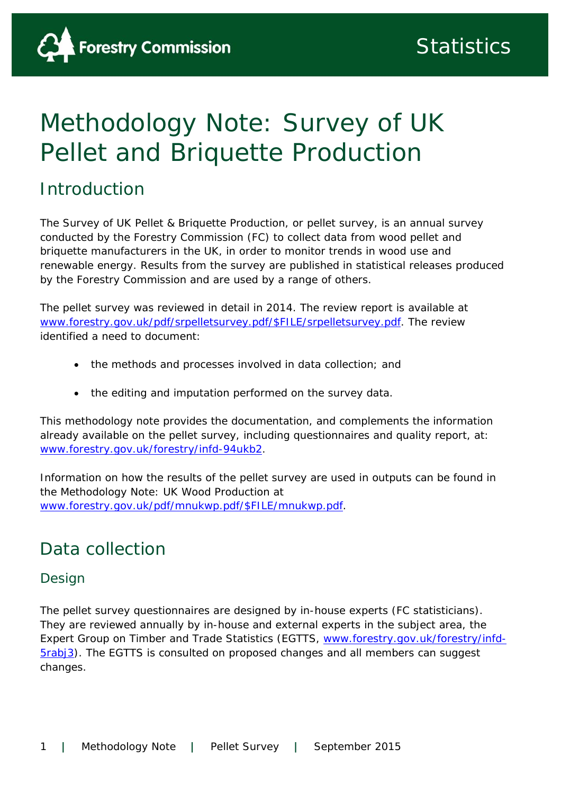# Methodology Note: Survey of UK Pellet and Briquette Production

### Introduction

The Survey of UK Pellet & Briquette Production, or pellet survey, is an annual survey conducted by the Forestry Commission (FC) to collect data from wood pellet and briquette manufacturers in the UK, in order to monitor trends in wood use and renewable energy. Results from the survey are published in statistical releases produced by the Forestry Commission and are used by a range of others.

The pellet survey was reviewed in detail in 2014. The review report is available at www.forestry.gov.uk/pdf/srpelletsurvey.pdf/\$FILE/srpelletsurvey.pdf. The review identified a need to document:

- the methods and processes involved in data collection; and
- the editing and imputation performed on the survey data.

This methodology note provides the documentation, and complements the information already available on the pellet survey, including questionnaires and quality report, at: www.forestry.gov.uk/forestry/infd-94ukb2.

Information on how the results of the pellet survey are used in outputs can be found in the *Methodology Note: UK Wood Production* at www.forestry.gov.uk/pdf/mnukwp.pdf/\$FILE/mnukwp.pdf.

## Data collection

### Design

The pellet survey questionnaires are designed by in-house experts (FC statisticians). They are reviewed annually by in-house and external experts in the subject area, the Expert Group on Timber and Trade Statistics (EGTTS, www.forestry.gov.uk/forestry/infd-5rabj3). The EGTTS is consulted on proposed changes and all members can suggest changes.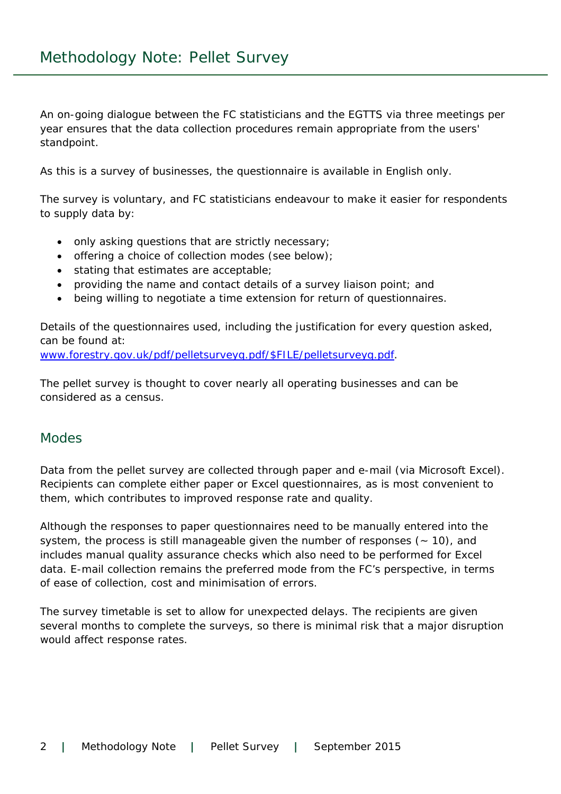An on-going dialogue between the FC statisticians and the EGTTS via three meetings per year ensures that the data collection procedures remain appropriate from the users' standpoint.

As this is a survey of businesses, the questionnaire is available in English only.

The survey is voluntary, and FC statisticians endeavour to make it easier for respondents to supply data by:

- only asking questions that are strictly necessary;
- offering a choice of collection modes (see below);
- stating that estimates are acceptable;
- providing the name and contact details of a survey liaison point; and
- being willing to negotiate a time extension for return of questionnaires.

Details of the questionnaires used, including the justification for every question asked, can be found at:

www.forestry.gov.uk/pdf/pelletsurveyq.pdf/\$FILE/pelletsurveyq.pdf.

The pellet survey is thought to cover nearly all operating businesses and can be considered as a census.

#### **Modes**

Data from the pellet survey are collected through paper and e-mail (via Microsoft Excel). Recipients can complete either paper or Excel questionnaires, as is most convenient to them, which contributes to improved response rate and quality.

Although the responses to paper questionnaires need to be manually entered into the system, the process is still manageable given the number of responses  $(-10)$ , and includes manual quality assurance checks which also need to be performed for Excel data. E-mail collection remains the preferred mode from the FC's perspective, in terms of ease of collection, cost and minimisation of errors.

The survey timetable is set to allow for unexpected delays. The recipients are given several months to complete the surveys, so there is minimal risk that a major disruption would affect response rates.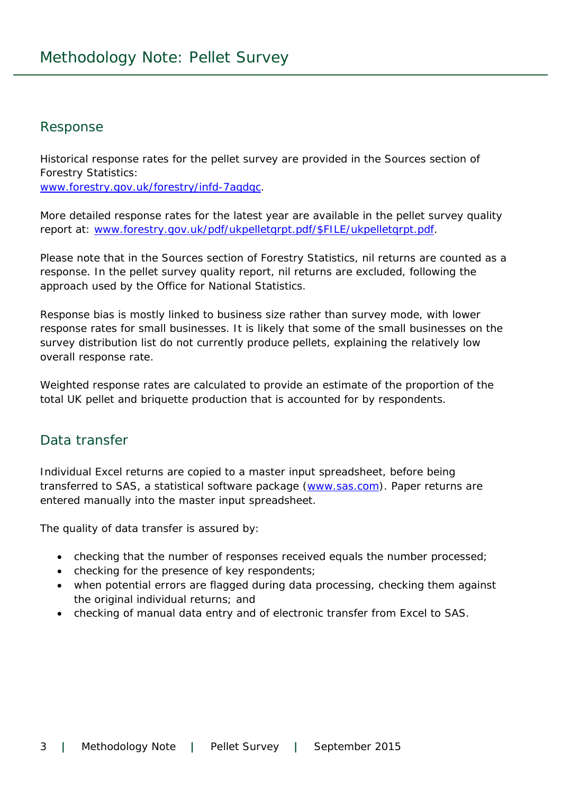#### Response

Historical response rates for the pellet survey are provided in the Sources section of *Forestry Statistics*: www.forestry.gov.uk/forestry/infd-7aqdgc.

More detailed response rates for the latest year are available in the pellet survey quality report at: www.forestry.gov.uk/pdf/ukpelletqrpt.pdf/\$FILE/ukpelletqrpt.pdf.

Please note that in the Sources section of *Forestry Statistics*, nil returns are counted as a response. In the pellet survey quality report, nil returns are excluded, following the approach used by the Office for National Statistics.

Response bias is mostly linked to business size rather than survey mode, with lower response rates for small businesses. It is likely that some of the small businesses on the survey distribution list do not currently produce pellets, explaining the relatively low overall response rate.

Weighted response rates are calculated to provide an estimate of the proportion of the total UK pellet and briquette production that is accounted for by respondents.

#### Data transfer

Individual Excel returns are copied to a master input spreadsheet, before being transferred to SAS, a statistical software package (www.sas.com). Paper returns are entered manually into the master input spreadsheet.

The quality of data transfer is assured by:

- checking that the number of responses received equals the number processed;
- checking for the presence of key respondents;
- when potential errors are flagged during data processing, checking them against the original individual returns; and
- checking of manual data entry and of electronic transfer from Excel to SAS.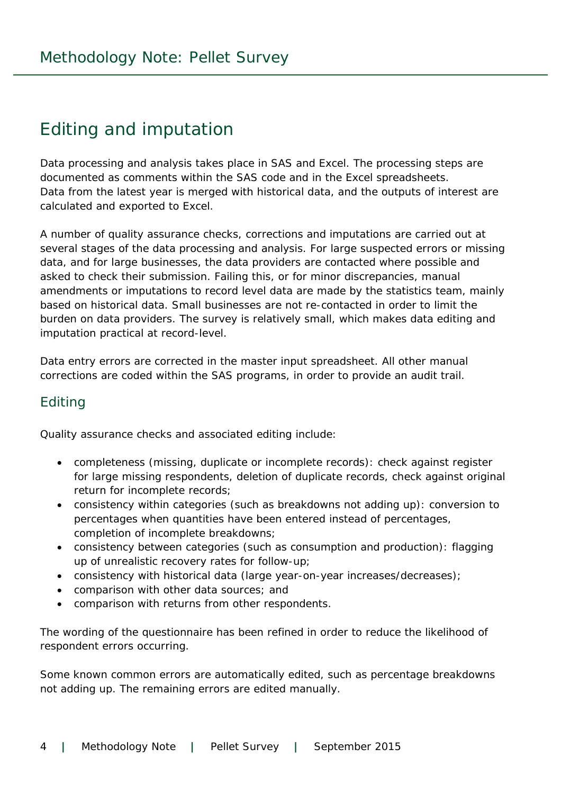## Editing and imputation

Data processing and analysis takes place in SAS and Excel. The processing steps are documented as comments within the SAS code and in the Excel spreadsheets. Data from the latest year is merged with historical data, and the outputs of interest are calculated and exported to Excel.

A number of quality assurance checks, corrections and imputations are carried out at several stages of the data processing and analysis. For large suspected errors or missing data, and for large businesses, the data providers are contacted where possible and asked to check their submission. Failing this, or for minor discrepancies, manual amendments or imputations to record level data are made by the statistics team, mainly based on historical data. Small businesses are not re-contacted in order to limit the burden on data providers. The survey is relatively small, which makes data editing and imputation practical at record-level.

Data entry errors are corrected in the master input spreadsheet. All other manual corrections are coded within the SAS programs, in order to provide an audit trail.

#### Editing

Quality assurance checks and associated editing include:

- completeness (missing, duplicate or incomplete records): check against register for large missing respondents, deletion of duplicate records, check against original return for incomplete records;
- consistency within categories (such as breakdowns not adding up): conversion to percentages when quantities have been entered instead of percentages, completion of incomplete breakdowns;
- consistency between categories (such as consumption and production): flagging up of unrealistic recovery rates for follow-up;
- consistency with historical data (large year-on-year increases/decreases);
- comparison with other data sources; and
- comparison with returns from other respondents.

The wording of the questionnaire has been refined in order to reduce the likelihood of respondent errors occurring.

Some known common errors are automatically edited, such as percentage breakdowns not adding up. The remaining errors are edited manually.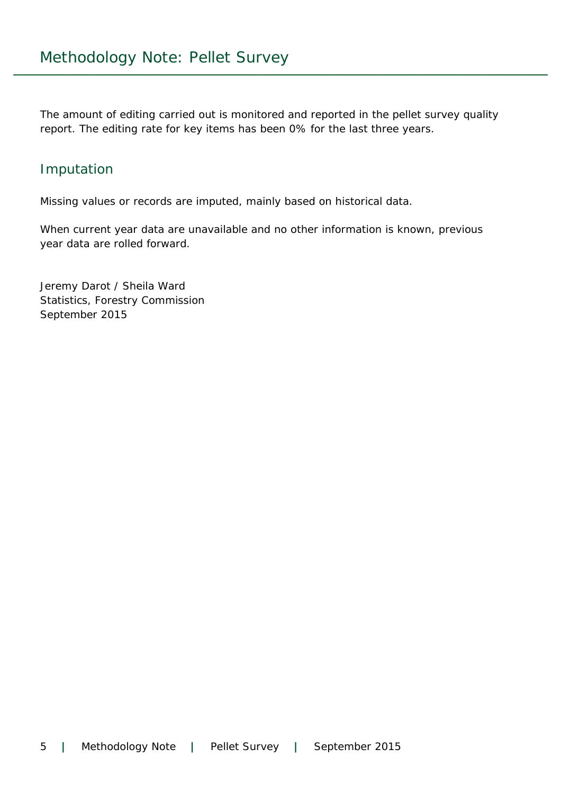The amount of editing carried out is monitored and reported in the pellet survey quality report. The editing rate for key items has been 0% for the last three years.

#### Imputation

Missing values or records are imputed, mainly based on historical data.

When current year data are unavailable and no other information is known, previous year data are rolled forward.

Jeremy Darot / Sheila Ward Statistics, Forestry Commission September 2015